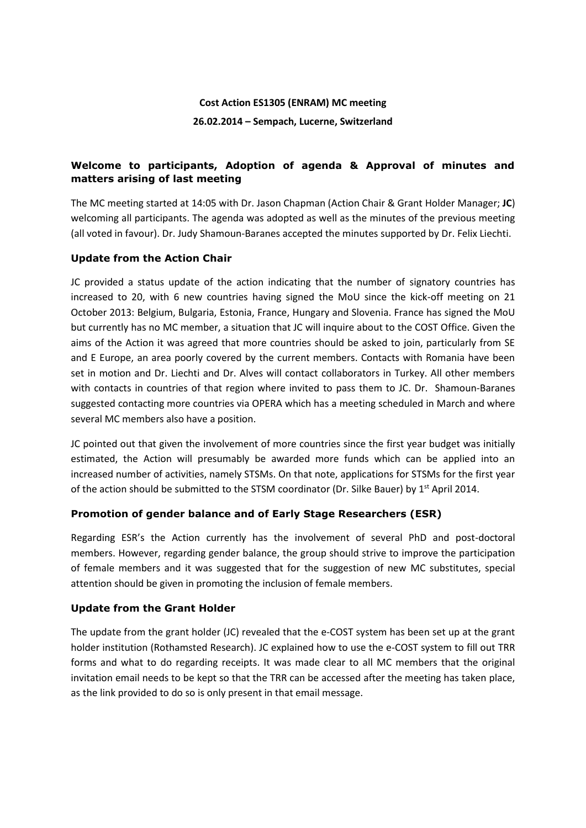# **Cost Action ES1305 (ENRAM) MC meeting 26.02.2014 – Sempach, Lucerne, Switzerland**

# **Welcome to participants, Adoption of agenda & Approval of minutes and matters arising of last meeting**

The MC meeting started at 14:05 with Dr. Jason Chapman (Action Chair & Grant Holder Manager; **JC**) welcoming all participants. The agenda was adopted as well as the minutes of the previous meeting (all voted in favour). Dr. Judy Shamoun-Baranes accepted the minutes supported by Dr. Felix Liechti.

# **Update from the Action Chair**

JC provided a status update of the action indicating that the number of signatory countries has increased to 20, with 6 new countries having signed the MoU since the kick-off meeting on 21 October 2013: Belgium, Bulgaria, Estonia, France, Hungary and Slovenia. France has signed the MoU but currently has no MC member, a situation that JC will inquire about to the COST Office. Given the aims of the Action it was agreed that more countries should be asked to join, particularly from SE and E Europe, an area poorly covered by the current members. Contacts with Romania have been set in motion and Dr. Liechti and Dr. Alves will contact collaborators in Turkey. All other members with contacts in countries of that region where invited to pass them to JC. Dr. Shamoun-Baranes suggested contacting more countries via OPERA which has a meeting scheduled in March and where several MC members also have a position.

JC pointed out that given the involvement of more countries since the first year budget was initially estimated, the Action will presumably be awarded more funds which can be applied into an increased number of activities, namely STSMs. On that note, applications for STSMs for the first year of the action should be submitted to the STSM coordinator (Dr. Silke Bauer) by 1<sup>st</sup> April 2014.

# **Promotion of gender balance and of Early Stage Researchers (ESR)**

Regarding ESR's the Action currently has the involvement of several PhD and post-doctoral members. However, regarding gender balance, the group should strive to improve the participation of female members and it was suggested that for the suggestion of new MC substitutes, special attention should be given in promoting the inclusion of female members.

# **Update from the Grant Holder**

The update from the grant holder (JC) revealed that the e-COST system has been set up at the grant holder institution (Rothamsted Research). JC explained how to use the e-COST system to fill out TRR forms and what to do regarding receipts. It was made clear to all MC members that the original invitation email needs to be kept so that the TRR can be accessed after the meeting has taken place, as the link provided to do so is only present in that email message.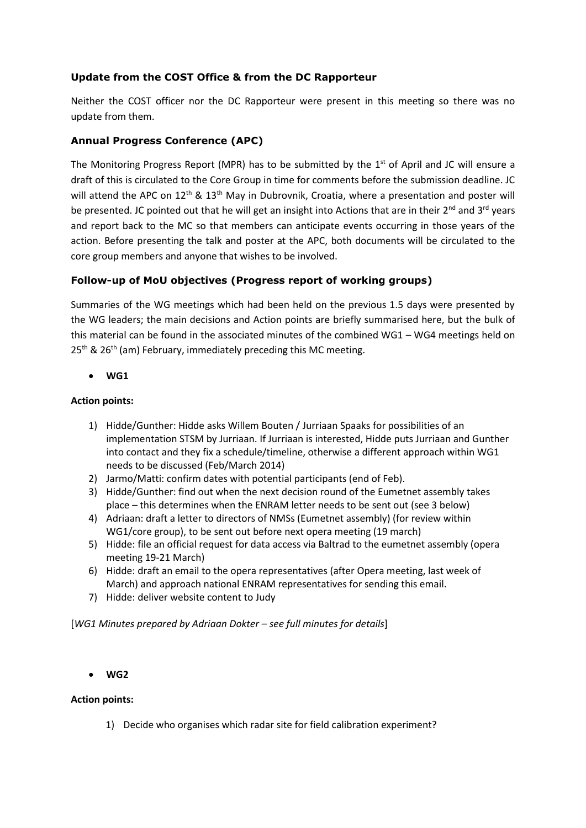# **Update from the COST Office & from the DC Rapporteur**

Neither the COST officer nor the DC Rapporteur were present in this meeting so there was no update from them.

# **Annual Progress Conference (APC)**

The Monitoring Progress Report (MPR) has to be submitted by the  $1<sup>st</sup>$  of April and JC will ensure a draft of this is circulated to the Core Group in time for comments before the submission deadline. JC will attend the APC on 12<sup>th</sup> & 13<sup>th</sup> May in Dubrovnik, Croatia, where a presentation and poster will be presented. JC pointed out that he will get an insight into Actions that are in their  $2^{nd}$  and  $3^{rd}$  years and report back to the MC so that members can anticipate events occurring in those years of the action. Before presenting the talk and poster at the APC, both documents will be circulated to the core group members and anyone that wishes to be involved.

# **Follow-up of MoU objectives (Progress report of working groups)**

Summaries of the WG meetings which had been held on the previous 1.5 days were presented by the WG leaders; the main decisions and Action points are briefly summarised here, but the bulk of this material can be found in the associated minutes of the combined WG1 – WG4 meetings held on  $25<sup>th</sup>$  &  $26<sup>th</sup>$  (am) February, immediately preceding this MC meeting.

**WG1**

#### **Action points:**

- 1) Hidde/Gunther: Hidde asks Willem Bouten / Jurriaan Spaaks for possibilities of an implementation STSM by Jurriaan. If Jurriaan is interested, Hidde puts Jurriaan and Gunther into contact and they fix a schedule/timeline, otherwise a different approach within WG1 needs to be discussed (Feb/March 2014)
- 2) Jarmo/Matti: confirm dates with potential participants (end of Feb).
- 3) Hidde/Gunther: find out when the next decision round of the Eumetnet assembly takes place – this determines when the ENRAM letter needs to be sent out (see 3 below)
- 4) Adriaan: draft a letter to directors of NMSs (Eumetnet assembly) (for review within WG1/core group), to be sent out before next opera meeting (19 march)
- 5) Hidde: file an official request for data access via Baltrad to the eumetnet assembly (opera meeting 19-21 March)
- 6) Hidde: draft an email to the opera representatives (after Opera meeting, last week of March) and approach national ENRAM representatives for sending this email.
- 7) Hidde: deliver website content to Judy

[*WG1 Minutes prepared by Adriaan Dokter – see full minutes for details*]

#### **WG2**

#### **Action points:**

1) Decide who organises which radar site for field calibration experiment?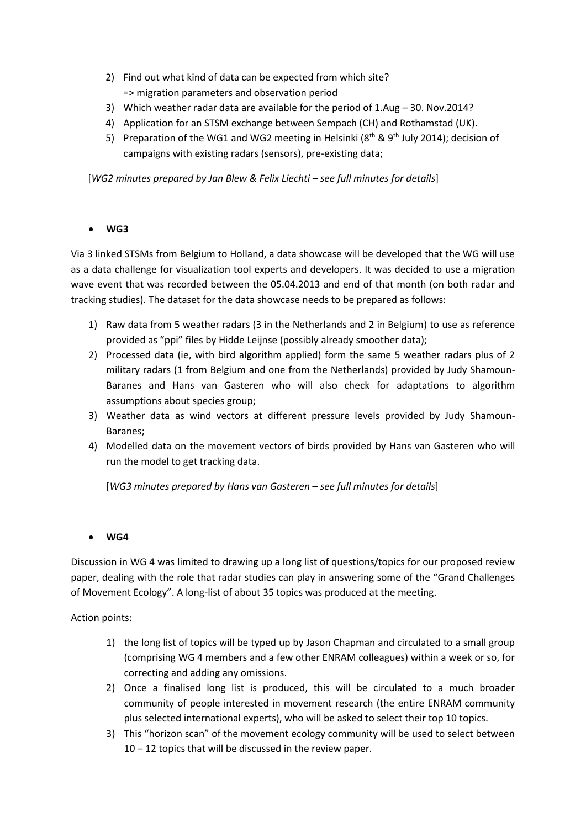- 2) Find out what kind of data can be expected from which site? => migration parameters and observation period
- 3) Which weather radar data are available for the period of 1.Aug 30. Nov.2014?
- 4) Application for an STSM exchange between Sempach (CH) and Rothamstad (UK).
- 5) Preparation of the WG1 and WG2 meeting in Helsinki ( $8<sup>th</sup>$  &  $9<sup>th</sup>$  July 2014); decision of campaigns with existing radars (sensors), pre-existing data;

[*WG2 minutes prepared by Jan Blew & Felix Liechti – see full minutes for details*]

# **WG3**

Via 3 linked STSMs from Belgium to Holland, a data showcase will be developed that the WG will use as a data challenge for visualization tool experts and developers. It was decided to use a migration wave event that was recorded between the 05.04.2013 and end of that month (on both radar and tracking studies). The dataset for the data showcase needs to be prepared as follows:

- 1) Raw data from 5 weather radars (3 in the Netherlands and 2 in Belgium) to use as reference provided as "ppi" files by Hidde Leijnse (possibly already smoother data);
- 2) Processed data (ie, with bird algorithm applied) form the same 5 weather radars plus of 2 military radars (1 from Belgium and one from the Netherlands) provided by Judy Shamoun-Baranes and Hans van Gasteren who will also check for adaptations to algorithm assumptions about species group;
- 3) Weather data as wind vectors at different pressure levels provided by Judy Shamoun-Baranes;
- 4) Modelled data on the movement vectors of birds provided by Hans van Gasteren who will run the model to get tracking data.

[*WG3 minutes prepared by Hans van Gasteren – see full minutes for details*]

# **WG4**

Discussion in WG 4 was limited to drawing up a long list of questions/topics for our proposed review paper, dealing with the role that radar studies can play in answering some of the "Grand Challenges of Movement Ecology". A long-list of about 35 topics was produced at the meeting.

Action points:

- 1) the long list of topics will be typed up by Jason Chapman and circulated to a small group (comprising WG 4 members and a few other ENRAM colleagues) within a week or so, for correcting and adding any omissions.
- 2) Once a finalised long list is produced, this will be circulated to a much broader community of people interested in movement research (the entire ENRAM community plus selected international experts), who will be asked to select their top 10 topics.
- 3) This "horizon scan" of the movement ecology community will be used to select between 10 – 12 topics that will be discussed in the review paper.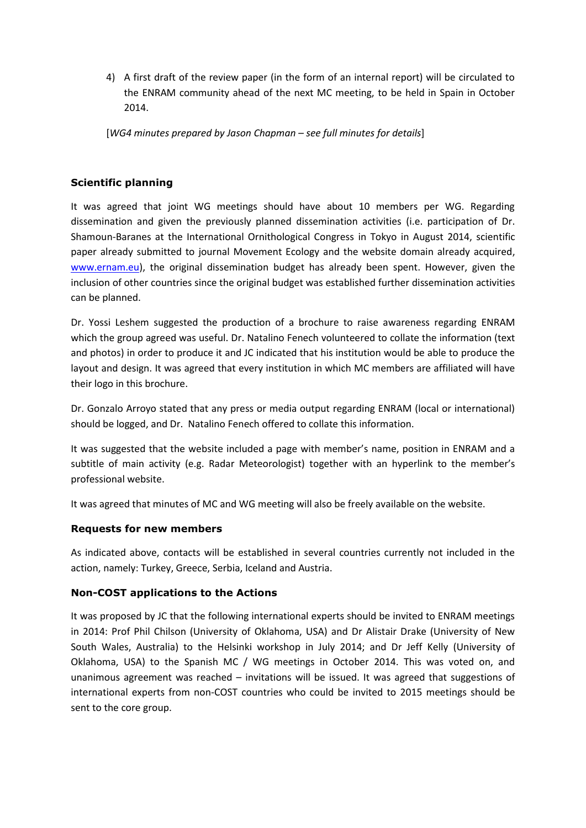4) A first draft of the review paper (in the form of an internal report) will be circulated to the ENRAM community ahead of the next MC meeting, to be held in Spain in October 2014.

[*WG4 minutes prepared by Jason Chapman – see full minutes for details*]

# **Scientific planning**

It was agreed that joint WG meetings should have about 10 members per WG. Regarding dissemination and given the previously planned dissemination activities (i.e. participation of Dr. Shamoun-Baranes at the International Ornithological Congress in Tokyo in August 2014, scientific paper already submitted to journal Movement Ecology and the website domain already acquired, [www.ernam.eu\)](http://www.ernam.eu/), the original dissemination budget has already been spent. However, given the inclusion of other countries since the original budget was established further dissemination activities can be planned.

Dr. Yossi Leshem suggested the production of a brochure to raise awareness regarding ENRAM which the group agreed was useful. Dr. Natalino Fenech volunteered to collate the information (text and photos) in order to produce it and JC indicated that his institution would be able to produce the layout and design. It was agreed that every institution in which MC members are affiliated will have their logo in this brochure.

Dr. Gonzalo Arroyo stated that any press or media output regarding ENRAM (local or international) should be logged, and Dr. Natalino Fenech offered to collate this information.

It was suggested that the website included a page with member's name, position in ENRAM and a subtitle of main activity (e.g. Radar Meteorologist) together with an hyperlink to the member's professional website.

It was agreed that minutes of MC and WG meeting will also be freely available on the website.

# **Requests for new members**

As indicated above, contacts will be established in several countries currently not included in the action, namely: Turkey, Greece, Serbia, Iceland and Austria.

# **Non-COST applications to the Actions**

It was proposed by JC that the following international experts should be invited to ENRAM meetings in 2014: Prof Phil Chilson (University of Oklahoma, USA) and Dr Alistair Drake (University of New South Wales, Australia) to the Helsinki workshop in July 2014; and Dr Jeff Kelly (University of Oklahoma, USA) to the Spanish MC / WG meetings in October 2014. This was voted on, and unanimous agreement was reached – invitations will be issued. It was agreed that suggestions of international experts from non-COST countries who could be invited to 2015 meetings should be sent to the core group.